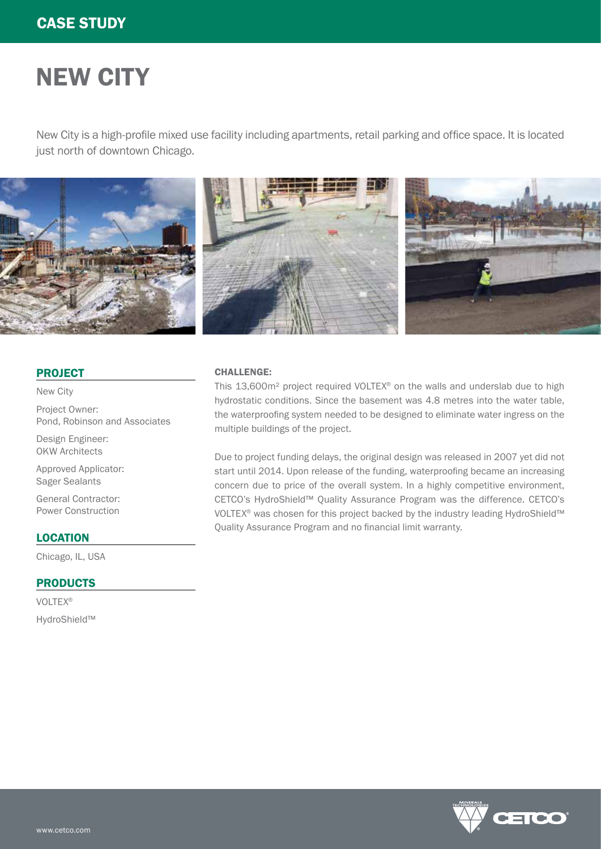# NEW CITY

New City is a high-profile mixed use facility including apartments, retail parking and office space. It is located just north of downtown Chicago.



# PROJECT

New City

Project Owner: Pond, Robinson and Associates

Design Engineer: OKW Architects

Approved Applicator: Sager Sealants

General Contractor: Power Construction

# **LOCATION**

Chicago, IL, USA

### **PRODUCTS**

VOLTEX® HydroShield™

# CHALLENGE:

This 13,600m² project required VOLTEX® on the walls and underslab due to high hydrostatic conditions. Since the basement was 4.8 metres into the water table, the waterproofing system needed to be designed to eliminate water ingress on the multiple buildings of the project.

Due to project funding delays, the original design was released in 2007 yet did not start until 2014. Upon release of the funding, waterproofing became an increasing concern due to price of the overall system. In a highly competitive environment, CETCO's HydroShield™ Quality Assurance Program was the difference. CETCO's VOLTEX<sup>®</sup> was chosen for this project backed by the industry leading HydroShield™ Quality Assurance Program and no financial limit warranty.